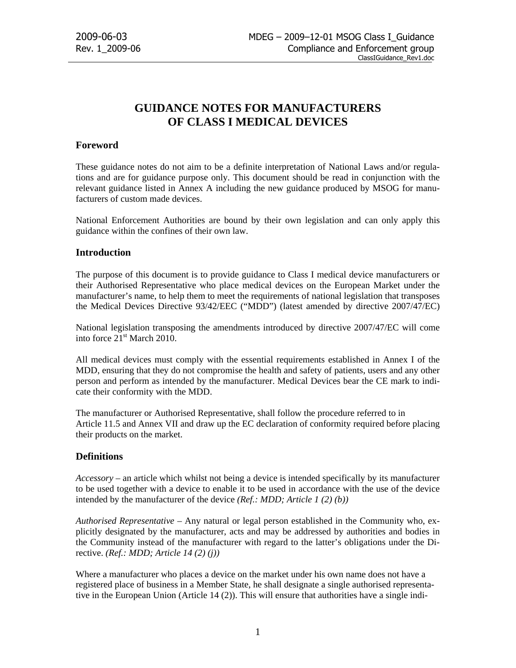# **GUIDANCE NOTES FOR MANUFACTURERS OF CLASS I MEDICAL DEVICES**

# **Foreword**

These guidance notes do not aim to be a definite interpretation of National Laws and/or regulations and are for guidance purpose only. This document should be read in conjunction with the relevant guidance listed in Annex A including the new guidance produced by MSOG for manufacturers of custom made devices.

National Enforcement Authorities are bound by their own legislation and can only apply this guidance within the confines of their own law.

# **Introduction**

The purpose of this document is to provide guidance to Class I medical device manufacturers or their Authorised Representative who place medical devices on the European Market under the manufacturer's name, to help them to meet the requirements of national legislation that transposes the Medical Devices Directive 93/42/EEC ("MDD") (latest amended by directive 2007/47/EC)

National legislation transposing the amendments introduced by directive 2007/47/EC will come into force 21<sup>st</sup> March 2010.

All medical devices must comply with the essential requirements established in Annex I of the MDD, ensuring that they do not compromise the health and safety of patients, users and any other person and perform as intended by the manufacturer. Medical Devices bear the CE mark to indicate their conformity with the MDD.

The manufacturer or Authorised Representative, shall follow the procedure referred to in Article 11.5 and Annex VII and draw up the EC declaration of conformity required before placing their products on the market.

# **Definitions**

*Accessory* – an article which whilst not being a device is intended specifically by its manufacturer to be used together with a device to enable it to be used in accordance with the use of the device intended by the manufacturer of the device *(Ref.: MDD; Article 1 (2) (b))*

*Authorised Representative* – Any natural or legal person established in the Community who, explicitly designated by the manufacturer, acts and may be addressed by authorities and bodies in the Community instead of the manufacturer with regard to the latter's obligations under the Directive. *(Ref.: MDD; Article 14 (2) (j))*

Where a manufacturer who places a device on the market under his own name does not have a registered place of business in a Member State, he shall designate a single authorised representative in the European Union (Article 14 (2)). This will ensure that authorities have a single indi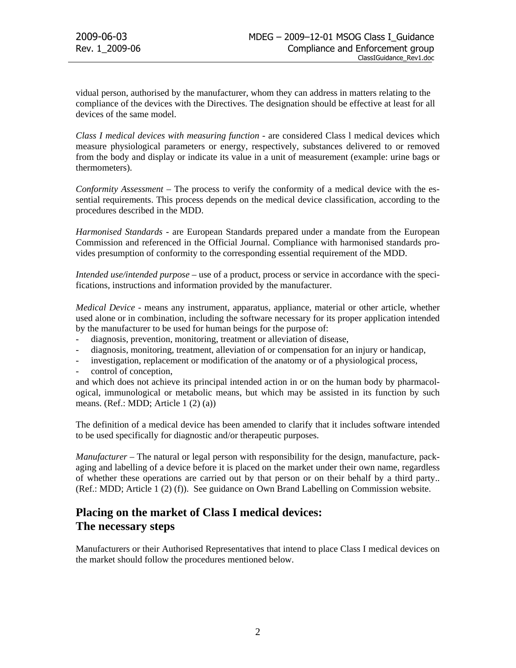vidual person, authorised by the manufacturer, whom they can address in matters relating to the compliance of the devices with the Directives. The designation should be effective at least for all devices of the same model.

*Class I medical devices with measuring function* - are considered Class l medical devices which measure physiological parameters or energy, respectively, substances delivered to or removed from the body and display or indicate its value in a unit of measurement (example: urine bags or thermometers).

*Conformity Assessment* – The process to verify the conformity of a medical device with the essential requirements. This process depends on the medical device classification, according to the procedures described in the MDD.

*Harmonised Standards* - are European Standards prepared under a mandate from the European Commission and referenced in the Official Journal. Compliance with harmonised standards provides presumption of conformity to the corresponding essential requirement of the MDD.

*Intended use/intended purpose* – use of a product, process or service in accordance with the specifications, instructions and information provided by the manufacturer.

*Medical Device* - means any instrument, apparatus, appliance, material or other article, whether used alone or in combination, including the software necessary for its proper application intended by the manufacturer to be used for human beings for the purpose of:

- diagnosis, prevention, monitoring, treatment or alleviation of disease,
- diagnosis, monitoring, treatment, alleviation of or compensation for an injury or handicap,
- investigation, replacement or modification of the anatomy or of a physiological process,
- control of conception,

and which does not achieve its principal intended action in or on the human body by pharmacological, immunological or metabolic means, but which may be assisted in its function by such means. (Ref.: MDD; Article 1 (2) (a))

The definition of a medical device has been amended to clarify that it includes software intended to be used specifically for diagnostic and/or therapeutic purposes.

*Manufacturer* – The natural or legal person with responsibility for the design, manufacture, packaging and labelling of a device before it is placed on the market under their own name, regardless of whether these operations are carried out by that person or on their behalf by a third party.. (Ref.: MDD; Article 1 (2) (f)). See guidance on Own Brand Labelling on Commission website.

# **Placing on the market of Class I medical devices: The necessary steps**

Manufacturers or their Authorised Representatives that intend to place Class I medical devices on the market should follow the procedures mentioned below.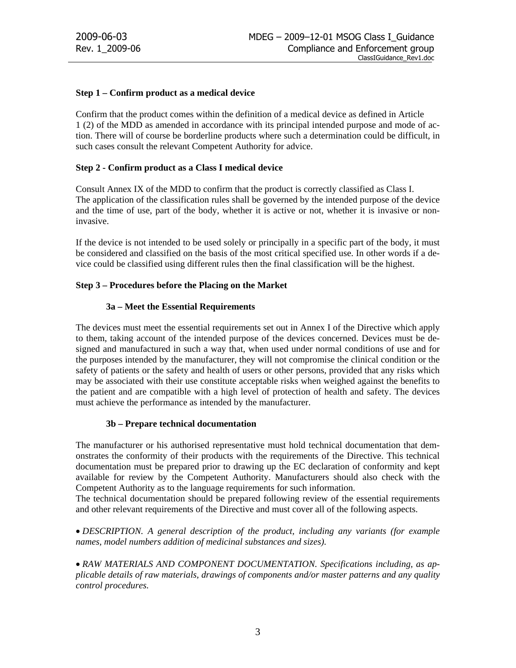## **Step 1 – Confirm product as a medical device**

Confirm that the product comes within the definition of a medical device as defined in Article 1 (2) of the MDD as amended in accordance with its principal intended purpose and mode of action. There will of course be borderline products where such a determination could be difficult, in such cases consult the relevant Competent Authority for advice.

## **Step 2 - Confirm product as a Class I medical device**

Consult Annex IX of the MDD to confirm that the product is correctly classified as Class I. The application of the classification rules shall be governed by the intended purpose of the device and the time of use, part of the body, whether it is active or not, whether it is invasive or noninvasive.

If the device is not intended to be used solely or principally in a specific part of the body, it must be considered and classified on the basis of the most critical specified use. In other words if a device could be classified using different rules then the final classification will be the highest.

## **Step 3 – Procedures before the Placing on the Market**

## **3a – Meet the Essential Requirements**

The devices must meet the essential requirements set out in Annex I of the Directive which apply to them, taking account of the intended purpose of the devices concerned. Devices must be designed and manufactured in such a way that, when used under normal conditions of use and for the purposes intended by the manufacturer, they will not compromise the clinical condition or the safety of patients or the safety and health of users or other persons, provided that any risks which may be associated with their use constitute acceptable risks when weighed against the benefits to the patient and are compatible with a high level of protection of health and safety. The devices must achieve the performance as intended by the manufacturer.

## **3b – Prepare technical documentation**

The manufacturer or his authorised representative must hold technical documentation that demonstrates the conformity of their products with the requirements of the Directive. This technical documentation must be prepared prior to drawing up the EC declaration of conformity and kept available for review by the Competent Authority. Manufacturers should also check with the Competent Authority as to the language requirements for such information.

The technical documentation should be prepared following review of the essential requirements and other relevant requirements of the Directive and must cover all of the following aspects.

• *DESCRIPTION. A general description of the product, including any variants (for example names, model numbers addition of medicinal substances and sizes).* 

• *RAW MATERIALS AND COMPONENT DOCUMENTATION. Specifications including, as applicable details of raw materials, drawings of components and/or master patterns and any quality control procedures.*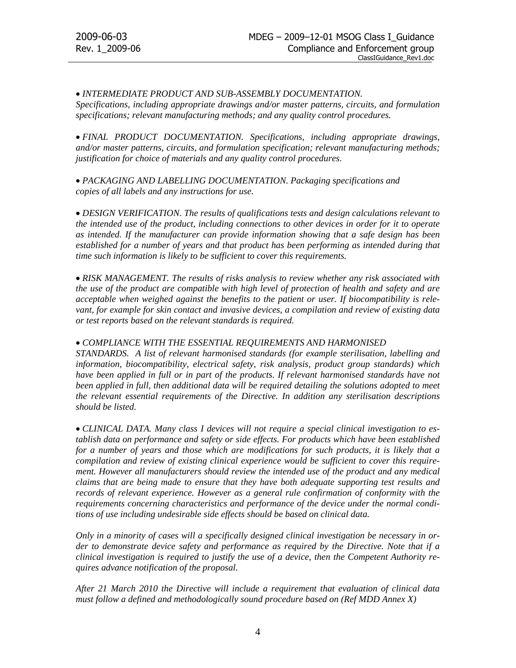# • *INTERMEDIATE PRODUCT AND SUB-ASSEMBLY DOCUMENTATION.*

*Specifications, including appropriate drawings and/or master patterns, circuits, and formulation specifications; relevant manufacturing methods; and any quality control procedures.* 

• *FINAL PRODUCT DOCUMENTATION. Specifications, including appropriate drawings, and/or master patterns, circuits, and formulation specification; relevant manufacturing methods; justification for choice of materials and any quality control procedures.* 

• *PACKAGING AND LABELLING DOCUMENTATION. Packaging specifications and copies of all labels and any instructions for use.* 

• *DESIGN VERIFICATION. The results of qualifications tests and design calculations relevant to the intended use of the product, including connections to other devices in order for it to operate as intended. If the manufacturer can provide information showing that a safe design has been established for a number of years and that product has been performing as intended during that time such information is likely to be sufficient to cover this requirements.* 

• *RISK MANAGEMENT. The results of risks analysis to review whether any risk associated with the use of the product are compatible with high level of protection of health and safety and are acceptable when weighed against the benefits to the patient or user. If biocompatibility is relevant, for example for skin contact and invasive devices, a compilation and review of existing data or test reports based on the relevant standards is required.* 

#### • *COMPLIANCE WITH THE ESSENTIAL REQUIREMENTS AND HARMONISED*

*STANDARDS. A list of relevant harmonised standards (for example sterilisation, labelling and information, biocompatibility, electrical safety, risk analysis, product group standards) which have been applied in full or in part of the products. If relevant harmonised standards have not* been applied in full, then additional data will be required detailing the solutions adopted to meet *the relevant essential requirements of the Directive. In addition any sterilisation descriptions should be listed.* 

• *CLINICAL DATA. Many class I devices will not require a special clinical investigation to establish data on performance and safety or side effects. For products which have been established for a number of years and those which are modifications for such products, it is likely that a compilation and review of existing clinical experience would be sufficient to cover this requirement. However all manufacturers should review the intended use of the product and any medical claims that are being made to ensure that they have both adequate supporting test results and records of relevant experience. However as a general rule confirmation of conformity with the requirements concerning characteristics and performance of the device under the normal conditions of use including undesirable side effects should be based on clinical data.* 

*Only in a minority of cases will a specifically designed clinical investigation be necessary in order to demonstrate device safety and performance as required by the Directive. Note that if a clinical investigation is required to justify the use of a device, then the Competent Authority requires advance notification of the proposal.* 

*After 21 March 2010 the Directive will include a requirement that evaluation of clinical data must follow a defined and methodologically sound procedure based on (Ref MDD Annex X)*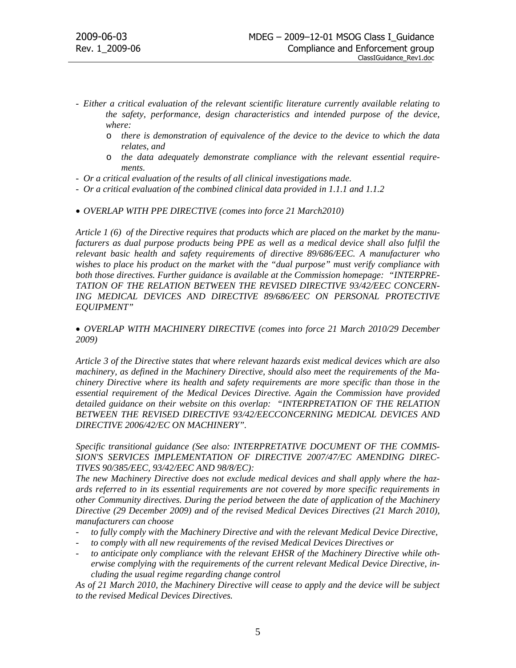- *Either a critical evaluation of the relevant scientific literature currently available relating to the safety, performance, design characteristics and intended purpose of the device, where:* 
	- o *there is demonstration of equivalence of the device to the device to which the data relates, and*
	- o *the data adequately demonstrate compliance with the relevant essential requirements.*
- *Or a critical evaluation of the results of all clinical investigations made.*
- *Or a critical evaluation of the combined clinical data provided in 1.1.1 and 1.1.2*
- *OVERLAP WITH PPE DIRECTIVE (comes into force 21 March2010)*

*Article 1 (6) of the Directive requires that products which are placed on the market by the manufacturers as dual purpose products being PPE as well as a medical device shall also fulfil the relevant basic health and safety requirements of directive 89/686/EEC. A manufacturer who wishes to place his product on the market with the "dual purpose" must verify compliance with both those directives. Further guidance is available at the Commission homepage: "INTERPRE-TATION OF THE RELATION BETWEEN THE REVISED DIRECTIVE 93/42/EEC CONCERN-ING MEDICAL DEVICES AND DIRECTIVE 89/686/EEC ON PERSONAL PROTECTIVE EQUIPMENT"* 

• *OVERLAP WITH MACHINERY DIRECTIVE (comes into force 21 March 2010/29 December 2009)* 

*Article 3 of the Directive states that where relevant hazards exist medical devices which are also machinery, as defined in the Machinery Directive, should also meet the requirements of the Machinery Directive where its health and safety requirements are more specific than those in the essential requirement of the Medical Devices Directive. Again the Commission have provided detailed guidance on their website on this overlap: "INTERPRETATION OF THE RELATION BETWEEN THE REVISED DIRECTIVE 93/42/EECCONCERNING MEDICAL DEVICES AND DIRECTIVE 2006/42/EC ON MACHINERY".* 

*Specific transitional guidance (See also: INTERPRETATIVE DOCUMENT OF THE COMMIS-SION'S SERVICES IMPLEMENTATION OF DIRECTIVE 2007/47/EC AMENDING DIREC-TIVES 90/385/EEC, 93/42/EEC AND 98/8/EC):* 

*The new Machinery Directive does not exclude medical devices and shall apply where the hazards referred to in its essential requirements are not covered by more specific requirements in other Community directives. During the period between the date of application of the Machinery Directive (29 December 2009) and of the revised Medical Devices Directives (21 March 2010), manufacturers can choose* 

- *to fully comply with the Machinery Directive and with the relevant Medical Device Directive,*
- to comply with all new requirements of the revised Medical Devices Directives or
- to anticipate only compliance with the relevant EHSR of the Machinery Directive while oth*erwise complying with the requirements of the current relevant Medical Device Directive, including the usual regime regarding change control*

*As of 21 March 2010, the Machinery Directive will cease to apply and the device will be subject to the revised Medical Devices Directives.*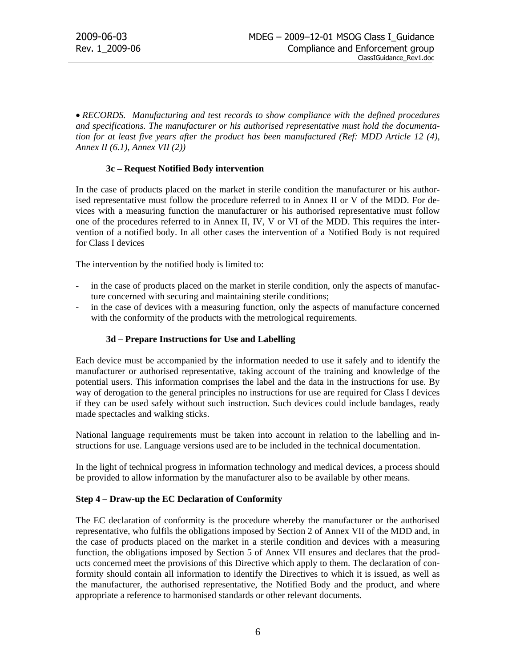• *RECORDS. Manufacturing and test records to show compliance with the defined procedures and specifications. The manufacturer or his authorised representative must hold the documentation for at least five years after the product has been manufactured (Ref: MDD Article 12 (4), Annex II (6.1), Annex VII (2))* 

## **3c – Request Notified Body intervention**

In the case of products placed on the market in sterile condition the manufacturer or his authorised representative must follow the procedure referred to in Annex II or V of the MDD. For devices with a measuring function the manufacturer or his authorised representative must follow one of the procedures referred to in Annex II, IV, V or VI of the MDD. This requires the intervention of a notified body. In all other cases the intervention of a Notified Body is not required for Class I devices

The intervention by the notified body is limited to:

- in the case of products placed on the market in sterile condition, only the aspects of manufacture concerned with securing and maintaining sterile conditions;
- in the case of devices with a measuring function, only the aspects of manufacture concerned with the conformity of the products with the metrological requirements.

# **3d – Prepare Instructions for Use and Labelling**

Each device must be accompanied by the information needed to use it safely and to identify the manufacturer or authorised representative, taking account of the training and knowledge of the potential users. This information comprises the label and the data in the instructions for use. By way of derogation to the general principles no instructions for use are required for Class I devices if they can be used safely without such instruction. Such devices could include bandages, ready made spectacles and walking sticks.

National language requirements must be taken into account in relation to the labelling and instructions for use. Language versions used are to be included in the technical documentation.

In the light of technical progress in information technology and medical devices, a process should be provided to allow information by the manufacturer also to be available by other means.

#### **Step 4 – Draw-up the EC Declaration of Conformity**

The EC declaration of conformity is the procedure whereby the manufacturer or the authorised representative, who fulfils the obligations imposed by Section 2 of Annex VII of the MDD and, in the case of products placed on the market in a sterile condition and devices with a measuring function, the obligations imposed by Section 5 of Annex VII ensures and declares that the products concerned meet the provisions of this Directive which apply to them. The declaration of conformity should contain all information to identify the Directives to which it is issued, as well as the manufacturer, the authorised representative, the Notified Body and the product, and where appropriate a reference to harmonised standards or other relevant documents.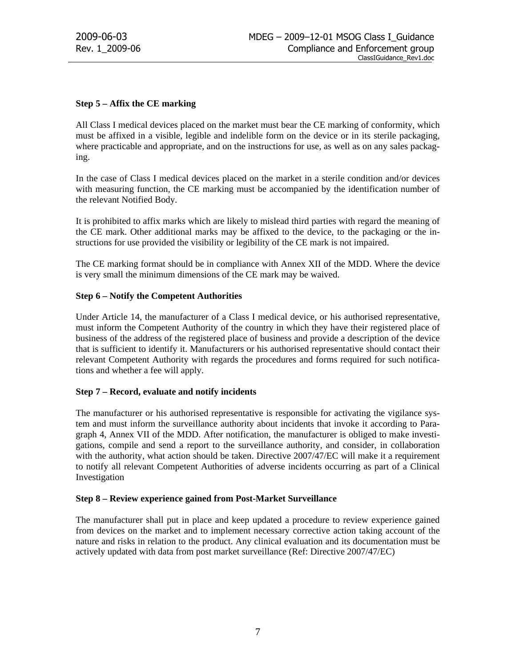# **Step 5 – Affix the CE marking**

All Class I medical devices placed on the market must bear the CE marking of conformity, which must be affixed in a visible, legible and indelible form on the device or in its sterile packaging, where practicable and appropriate, and on the instructions for use, as well as on any sales packaging.

In the case of Class I medical devices placed on the market in a sterile condition and/or devices with measuring function, the CE marking must be accompanied by the identification number of the relevant Notified Body.

It is prohibited to affix marks which are likely to mislead third parties with regard the meaning of the CE mark. Other additional marks may be affixed to the device, to the packaging or the instructions for use provided the visibility or legibility of the CE mark is not impaired.

The CE marking format should be in compliance with Annex XII of the MDD. Where the device is very small the minimum dimensions of the CE mark may be waived.

## **Step 6 – Notify the Competent Authorities**

Under Article 14, the manufacturer of a Class I medical device, or his authorised representative, must inform the Competent Authority of the country in which they have their registered place of business of the address of the registered place of business and provide a description of the device that is sufficient to identify it. Manufacturers or his authorised representative should contact their relevant Competent Authority with regards the procedures and forms required for such notifications and whether a fee will apply.

# **Step 7 – Record, evaluate and notify incidents**

The manufacturer or his authorised representative is responsible for activating the vigilance system and must inform the surveillance authority about incidents that invoke it according to Paragraph 4, Annex VII of the MDD. After notification, the manufacturer is obliged to make investigations, compile and send a report to the surveillance authority, and consider, in collaboration with the authority, what action should be taken. Directive 2007/47/EC will make it a requirement to notify all relevant Competent Authorities of adverse incidents occurring as part of a Clinical Investigation

# **Step 8 – Review experience gained from Post-Market Surveillance**

The manufacturer shall put in place and keep updated a procedure to review experience gained from devices on the market and to implement necessary corrective action taking account of the nature and risks in relation to the product. Any clinical evaluation and its documentation must be actively updated with data from post market surveillance (Ref: Directive 2007/47/EC)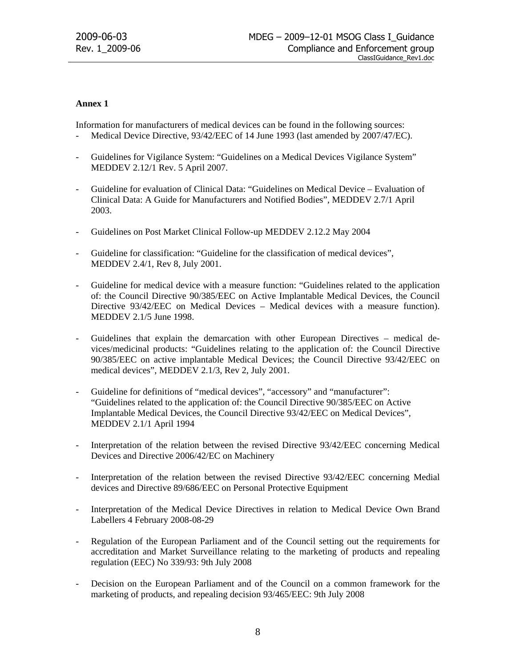# **Annex 1**

Information for manufacturers of medical devices can be found in the following sources:

- Medical Device Directive, 93/42/EEC of 14 June 1993 (last amended by 2007/47/EC).
- Guidelines for Vigilance System: "Guidelines on a Medical Devices Vigilance System" MEDDEV 2.12/1 Rev. 5 April 2007.
- Guideline for evaluation of Clinical Data: "Guidelines on Medical Device Evaluation of Clinical Data: A Guide for Manufacturers and Notified Bodies", MEDDEV 2.7/1 April 2003.
- Guidelines on Post Market Clinical Follow-up MEDDEV 2.12.2 May 2004
- Guideline for classification: "Guideline for the classification of medical devices", MEDDEV 2.4/1, Rev 8, July 2001.
- Guideline for medical device with a measure function: "Guidelines related to the application of: the Council Directive 90/385/EEC on Active Implantable Medical Devices, the Council Directive 93/42/EEC on Medical Devices – Medical devices with a measure function). MEDDEV 2.1/5 June 1998.
- Guidelines that explain the demarcation with other European Directives medical devices/medicinal products: "Guidelines relating to the application of: the Council Directive 90/385/EEC on active implantable Medical Devices; the Council Directive 93/42/EEC on medical devices", MEDDEV 2.1/3, Rev 2, July 2001.
- Guideline for definitions of "medical devices", "accessory" and "manufacturer": "Guidelines related to the application of: the Council Directive 90/385/EEC on Active Implantable Medical Devices, the Council Directive 93/42/EEC on Medical Devices", MEDDEV 2.1/1 April 1994
- Interpretation of the relation between the revised Directive 93/42/EEC concerning Medical Devices and Directive 2006/42/EC on Machinery
- Interpretation of the relation between the revised Directive 93/42/EEC concerning Medial devices and Directive 89/686/EEC on Personal Protective Equipment
- Interpretation of the Medical Device Directives in relation to Medical Device Own Brand Labellers 4 February 2008-08-29
- Regulation of the European Parliament and of the Council setting out the requirements for accreditation and Market Surveillance relating to the marketing of products and repealing regulation (EEC) No 339/93: 9th July 2008
- Decision on the European Parliament and of the Council on a common framework for the marketing of products, and repealing decision 93/465/EEC: 9th July 2008